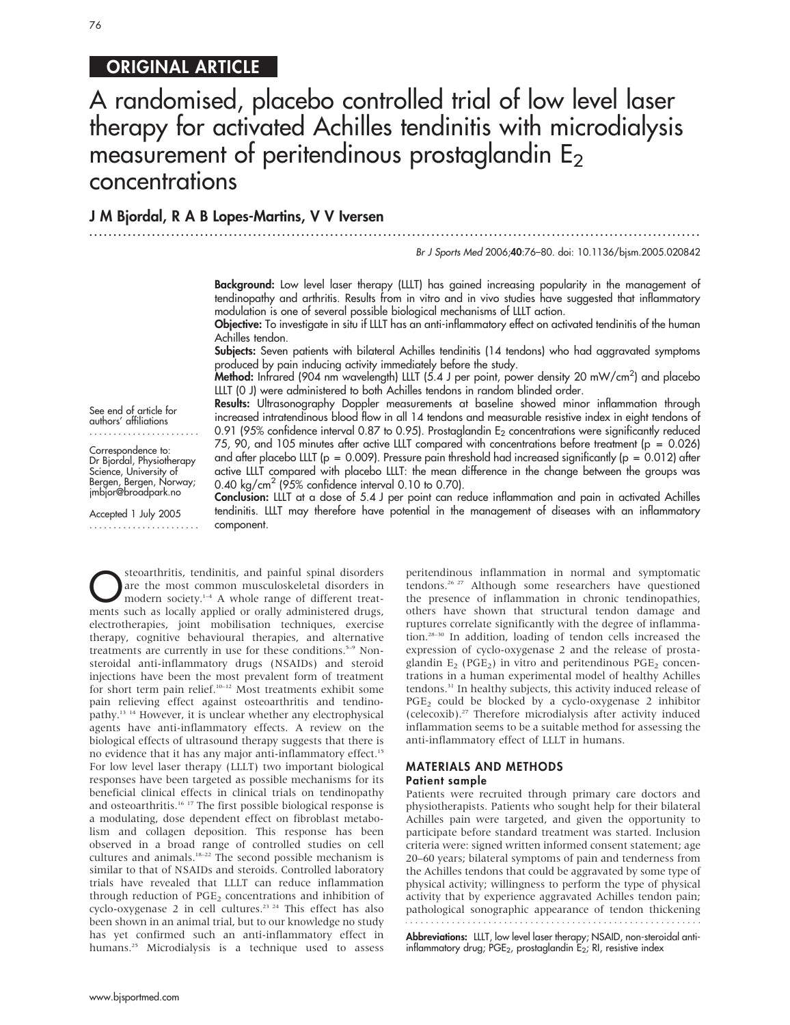# ORIGINAL ARTICLE

# A randomised, placebo controlled trial of low level laser therapy for activated Achilles tendinitis with microdialysis measurement of peritendinous prostaglandin E2 concentrations

............................................................... ............................................................... .

### J M Bjordal, R A B Lopes-Martins, V V Iversen

Br J Sports Med 2006;40:76–80. doi: 10.1136/bjsm.2005.020842

Background: Low level laser therapy (LLLT) has gained increasing popularity in the management of tendinopathy and arthritis. Results from in vitro and in vivo studies have suggested that inflammatory modulation is one of several possible biological mechanisms of LLLT action.

Objective: To investigate in situ if LLLT has an anti-inflammatory effect on activated tendinitis of the human Achilles tendon.

Subjects: Seven patients with bilateral Achilles tendinitis (14 tendons) who had aggravated symptoms produced by pain inducing activity immediately before the study.

Method: Infrared (904 nm wavelength) LLLT (5.4 J per point, power density 20 mW/cm<sup>2</sup>) and placebo LLLT (0 J) were administered to both Achilles tendons in random blinded order. Results: Ultrasonography Doppler measurements at baseline showed minor inflammation through

See end of article for authors' affiliations

Correspondence to: Dr Bjordal, Physiotherapy Science, University of Bergen, Bergen, Norway; jmbjor@broadpark.no

Accepted 1 July 2005 .......................

increased intratendinous blood flow in all 14 tendons and measurable resistive index in eight tendons of 0.91 (95% confidence interval 0.87 to 0.95). Prostaglandin E<sub>2</sub> concentrations were significantly reduced 75, 90, and 105 minutes after active LLLT compared with concentrations before treatment (p = 0.026) and after placebo LLLT ( $p = 0.009$ ). Pressure pain threshold had increased significantly ( $p = 0.012$ ) after active LLLT compared with placebo LLLT: the mean difference in the change between the groups was  $0.40 \text{ kg/cm}^2$  (95% confidence interval 0.10 to 0.70).

Conclusion: LLLT at a dose of 5.4 J per point can reduce inflammation and pain in activated Achilles tendinitis. LLLT may therefore have potential in the management of diseases with an inflammatory component.

Steoarthritis, tendinitis, and painful spinal disorders<br>are the most common musculoskeletal disorders in<br>modern society.<sup>1-4</sup> A whole range of different treat-<br>ments such as locally applied or orally administered drugs are the most common musculoskeletal disorders in modern society. $1-4$  A whole range of different treatments such as locally applied or orally administered drugs, electrotherapies, joint mobilisation techniques, exercise therapy, cognitive behavioural therapies, and alternative treatments are currently in use for these conditions.<sup>5-9</sup> Nonsteroidal anti-inflammatory drugs (NSAIDs) and steroid injections have been the most prevalent form of treatment for short term pain relief.<sup>10–12</sup> Most treatments exhibit some pain relieving effect against osteoarthritis and tendinopathy.<sup>13 14</sup> However, it is unclear whether any electrophysical agents have anti-inflammatory effects. A review on the biological effects of ultrasound therapy suggests that there is no evidence that it has any major anti-inflammatory effect.<sup>15</sup> For low level laser therapy (LLLT) two important biological responses have been targeted as possible mechanisms for its beneficial clinical effects in clinical trials on tendinopathy and osteoarthritis.<sup>16</sup> <sup>17</sup> The first possible biological response is a modulating, dose dependent effect on fibroblast metabolism and collagen deposition. This response has been observed in a broad range of controlled studies on cell cultures and animals.18–22 The second possible mechanism is similar to that of NSAIDs and steroids. Controlled laboratory trials have revealed that LLLT can reduce inflammation through reduction of  $PGE_2$  concentrations and inhibition of cyclo-oxygenase 2 in cell cultures.<sup>23 24</sup> This effect has also been shown in an animal trial, but to our knowledge no study has yet confirmed such an anti-inflammatory effect in humans.<sup>25</sup> Microdialysis is a technique used to assess peritendinous inflammation in normal and symptomatic tendons.26 27 Although some researchers have questioned the presence of inflammation in chronic tendinopathies, others have shown that structural tendon damage and ruptures correlate significantly with the degree of inflammation.28–30 In addition, loading of tendon cells increased the expression of cyclo-oxygenase 2 and the release of prostaglandin  $E<sub>2</sub>$  (PGE<sub>2</sub>) in vitro and peritendinous PGE<sub>2</sub> concentrations in a human experimental model of healthy Achilles tendons.31 In healthy subjects, this activity induced release of  $PGE<sub>2</sub>$  could be blocked by a cyclo-oxygenase 2 inhibitor (celecoxib).27 Therefore microdialysis after activity induced inflammation seems to be a suitable method for assessing the anti-inflammatory effect of LLLT in humans.

# MATERIALS AND METHODS

### Patient sample

Patients were recruited through primary care doctors and physiotherapists. Patients who sought help for their bilateral Achilles pain were targeted, and given the opportunity to participate before standard treatment was started. Inclusion criteria were: signed written informed consent statement; age 20–60 years; bilateral symptoms of pain and tenderness from the Achilles tendons that could be aggravated by some type of physical activity; willingness to perform the type of physical activity that by experience aggravated Achilles tendon pain; pathological sonographic appearance of tendon thickening 

**Abbreviations:** LLLT, low level laser therapy; NSAID, non-steroidal antiinflammatory drug; PGE<sub>2</sub>, prostaglandin E<sub>2</sub>; RI, resistive index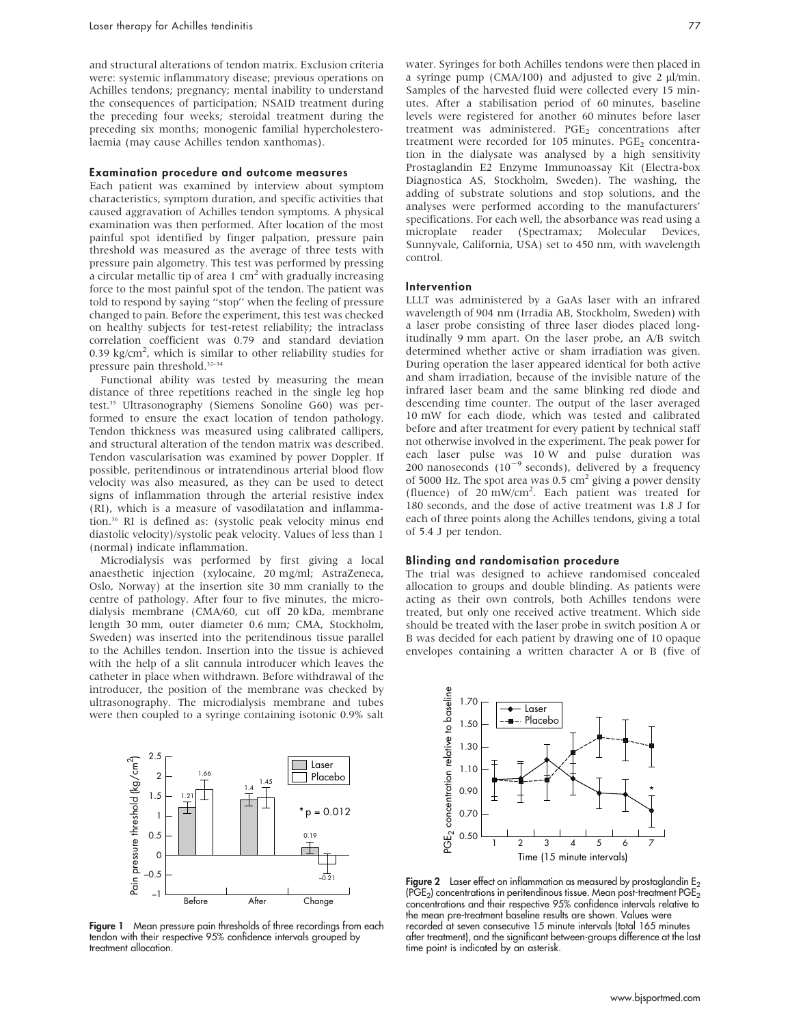and structural alterations of tendon matrix. Exclusion criteria were: systemic inflammatory disease; previous operations on Achilles tendons; pregnancy; mental inability to understand the consequences of participation; NSAID treatment during the preceding four weeks; steroidal treatment during the preceding six months; monogenic familial hypercholesterolaemia (may cause Achilles tendon xanthomas).

#### Examination procedure and outcome measures

Each patient was examined by interview about symptom characteristics, symptom duration, and specific activities that caused aggravation of Achilles tendon symptoms. A physical examination was then performed. After location of the most painful spot identified by finger palpation, pressure pain threshold was measured as the average of three tests with pressure pain algometry. This test was performed by pressing a circular metallic tip of area 1  $\text{cm}^2$  with gradually increasing force to the most painful spot of the tendon. The patient was told to respond by saying ''stop'' when the feeling of pressure changed to pain. Before the experiment, this test was checked on healthy subjects for test-retest reliability; the intraclass correlation coefficient was 0.79 and standard deviation 0.39 kg/cm<sup>2</sup>, which is similar to other reliability studies for pressure pain threshold.<sup>32-3</sup>

Functional ability was tested by measuring the mean distance of three repetitions reached in the single leg hop test.<sup>35</sup> Ultrasonography (Siemens Sonoline G60) was performed to ensure the exact location of tendon pathology. Tendon thickness was measured using calibrated callipers, and structural alteration of the tendon matrix was described. Tendon vascularisation was examined by power Doppler. If possible, peritendinous or intratendinous arterial blood flow velocity was also measured, as they can be used to detect signs of inflammation through the arterial resistive index (RI), which is a measure of vasodilatation and inflammation.36 RI is defined as: (systolic peak velocity minus end diastolic velocity)/systolic peak velocity. Values of less than 1 (normal) indicate inflammation.

Microdialysis was performed by first giving a local anaesthetic injection (xylocaine, 20 mg/ml; AstraZeneca, Oslo, Norway) at the insertion site 30 mm cranially to the centre of pathology. After four to five minutes, the microdialysis membrane (CMA/60, cut off 20 kDa, membrane length 30 mm, outer diameter 0.6 mm; CMA, Stockholm, Sweden) was inserted into the peritendinous tissue parallel to the Achilles tendon. Insertion into the tissue is achieved with the help of a slit cannula introducer which leaves the catheter in place when withdrawn. Before withdrawal of the introducer, the position of the membrane was checked by ultrasonography. The microdialysis membrane and tubes were then coupled to a syringe containing isotonic 0.9% salt



Figure 1 Mean pressure pain thresholds of three recordings from each tendon with their respective 95% confidence intervals grouped by treatment allocation.

water. Syringes for both Achilles tendons were then placed in a syringe pump (CMA/100) and adjusted to give 2  $\mu$ l/min. Samples of the harvested fluid were collected every 15 minutes. After a stabilisation period of 60 minutes, baseline levels were registered for another 60 minutes before laser treatment was administered. PGE<sub>2</sub> concentrations after treatment were recorded for 105 minutes.  $PGE_2$  concentration in the dialysate was analysed by a high sensitivity Prostaglandin E2 Enzyme Immunoassay Kit (Electra-box Diagnostica AS, Stockholm, Sweden). The washing, the adding of substrate solutions and stop solutions, and the analyses were performed according to the manufacturers' specifications. For each well, the absorbance was read using a microplate reader (Spectramax; Molecular Devices, Sunnyvale, California, USA) set to 450 nm, with wavelength control.

#### Intervention

LLLT was administered by a GaAs laser with an infrared wavelength of 904 nm (Irradia AB, Stockholm, Sweden) with a laser probe consisting of three laser diodes placed longitudinally 9 mm apart. On the laser probe, an A/B switch determined whether active or sham irradiation was given. During operation the laser appeared identical for both active and sham irradiation, because of the invisible nature of the infrared laser beam and the same blinking red diode and descending time counter. The output of the laser averaged 10 mW for each diode, which was tested and calibrated before and after treatment for every patient by technical staff not otherwise involved in the experiment. The peak power for each laser pulse was 10 W and pulse duration was 200 nanoseconds  $(10^{-9}$  seconds), delivered by a frequency of 5000 Hz. The spot area was  $0.5 \text{ cm}^2$  giving a power density (fluence) of 20 mW/cm2 . Each patient was treated for 180 seconds, and the dose of active treatment was 1.8 J for each of three points along the Achilles tendons, giving a total of 5.4 J per tendon.

#### Blinding and randomisation procedure

The trial was designed to achieve randomised concealed allocation to groups and double blinding. As patients were acting as their own controls, both Achilles tendons were treated, but only one received active treatment. Which side should be treated with the laser probe in switch position A or B was decided for each patient by drawing one of 10 opaque envelopes containing a written character A or B (five of



**Figure 2** Laser effect on inflammation as measured by prostaglandin  $E_2$  $(PGE<sub>2</sub>)$  concentrations in peritendinous tissue. Mean post-treatment  $PGE<sub>2</sub>$ concentrations and their respective 95% confidence intervals relative to the mean pre-treatment baseline results are shown. Values were recorded at seven consecutive 15 minute intervals (total 165 minutes after treatment), and the significant between-groups difference at the last time point is indicated by an asterisk.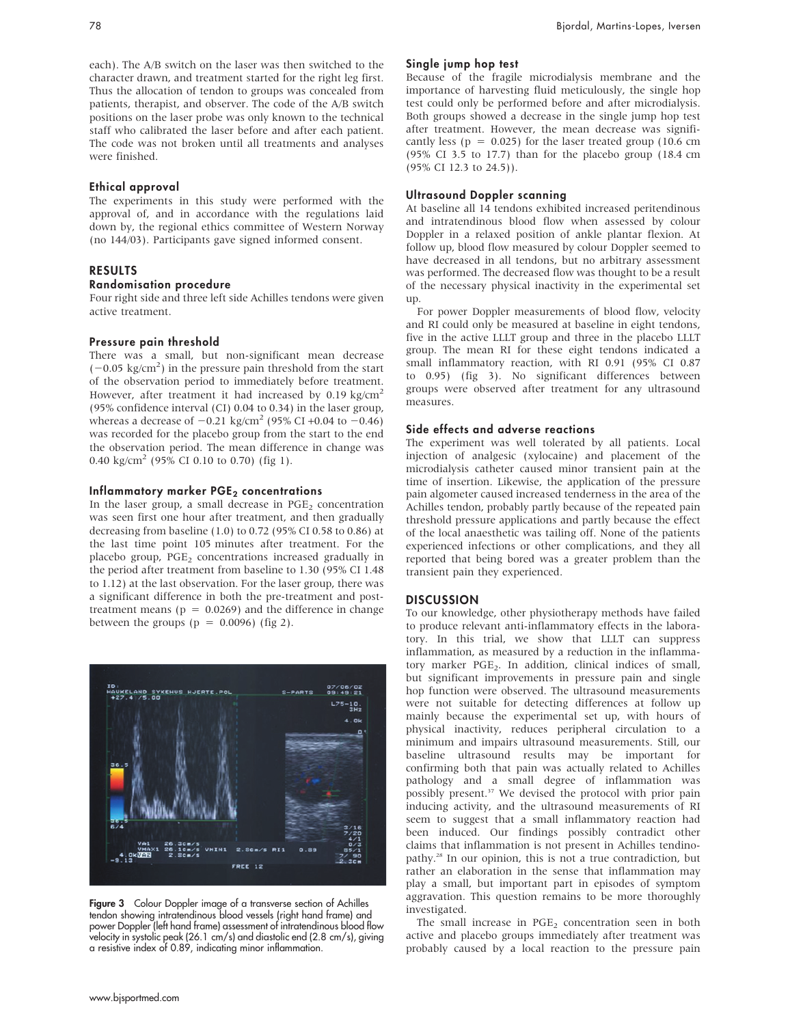each). The A/B switch on the laser was then switched to the character drawn, and treatment started for the right leg first. Thus the allocation of tendon to groups was concealed from patients, therapist, and observer. The code of the A/B switch positions on the laser probe was only known to the technical staff who calibrated the laser before and after each patient. The code was not broken until all treatments and analyses were finished.

#### Ethical approval

The experiments in this study were performed with the approval of, and in accordance with the regulations laid down by, the regional ethics committee of Western Norway (no 144/03). Participants gave signed informed consent.

#### RESULTS

### Randomisation procedure

Four right side and three left side Achilles tendons were given active treatment.

### Pressure pain threshold

There was a small, but non-significant mean decrease  $(-0.05 \text{ kg/cm}^2)$  in the pressure pain threshold from the start of the observation period to immediately before treatment. However, after treatment it had increased by 0.19 kg/cm<sup>2</sup> (95% confidence interval (CI) 0.04 to 0.34) in the laser group, whereas a decrease of  $-0.21 \text{ kg/cm}^2$  (95% CI +0.04 to  $-0.46$ ) was recorded for the placebo group from the start to the end the observation period. The mean difference in change was 0.40 kg/cm<sup>2</sup> (95% CI 0.10 to 0.70) (fig 1).

#### Inflammatory marker PGE<sub>2</sub> concentrations

In the laser group, a small decrease in  $PGE_2$  concentration was seen first one hour after treatment, and then gradually decreasing from baseline (1.0) to 0.72 (95% CI 0.58 to 0.86) at the last time point 105 minutes after treatment. For the placebo group, PGE<sub>2</sub> concentrations increased gradually in the period after treatment from baseline to 1.30 (95% CI 1.48 to 1.12) at the last observation. For the laser group, there was a significant difference in both the pre-treatment and posttreatment means ( $p = 0.0269$ ) and the difference in change between the groups ( $p = 0.0096$ ) (fig 2).



**Figure 3** Colour Doppler image of a transverse section of Achilles tendon showing intratendinous blood vessels (right hand frame) and power Doppler (left hand frame) assessment of intratendinous blood flow velocity in systolic peak (26.1 cm/s) and diastolic end (2.8 cm/s), giving a resistive index of 0.89, indicating minor inflammation.

#### Single jump hop test

Because of the fragile microdialysis membrane and the importance of harvesting fluid meticulously, the single hop test could only be performed before and after microdialysis. Both groups showed a decrease in the single jump hop test after treatment. However, the mean decrease was significantly less ( $p = 0.025$ ) for the laser treated group (10.6 cm (95% CI 3.5 to 17.7) than for the placebo group (18.4 cm (95% CI 12.3 to 24.5)).

#### Ultrasound Doppler scanning

At baseline all 14 tendons exhibited increased peritendinous and intratendinous blood flow when assessed by colour Doppler in a relaxed position of ankle plantar flexion. At follow up, blood flow measured by colour Doppler seemed to have decreased in all tendons, but no arbitrary assessment was performed. The decreased flow was thought to be a result of the necessary physical inactivity in the experimental set up.

For power Doppler measurements of blood flow, velocity and RI could only be measured at baseline in eight tendons, five in the active LLLT group and three in the placebo LLLT group. The mean RI for these eight tendons indicated a small inflammatory reaction, with RI 0.91 (95% CI 0.87 to 0.95) (fig 3). No significant differences between groups were observed after treatment for any ultrasound measures.

#### Side effects and adverse reactions

The experiment was well tolerated by all patients. Local injection of analgesic (xylocaine) and placement of the microdialysis catheter caused minor transient pain at the time of insertion. Likewise, the application of the pressure pain algometer caused increased tenderness in the area of the Achilles tendon, probably partly because of the repeated pain threshold pressure applications and partly because the effect of the local anaesthetic was tailing off. None of the patients experienced infections or other complications, and they all reported that being bored was a greater problem than the transient pain they experienced.

#### **DISCUSSION**

To our knowledge, other physiotherapy methods have failed to produce relevant anti-inflammatory effects in the laboratory. In this trial, we show that LLLT can suppress inflammation, as measured by a reduction in the inflammatory marker PGE<sub>2</sub>. In addition, clinical indices of small, but significant improvements in pressure pain and single hop function were observed. The ultrasound measurements were not suitable for detecting differences at follow up mainly because the experimental set up, with hours of physical inactivity, reduces peripheral circulation to a minimum and impairs ultrasound measurements. Still, our baseline ultrasound results may be important for confirming both that pain was actually related to Achilles pathology and a small degree of inflammation was possibly present.<sup>37</sup> We devised the protocol with prior pain inducing activity, and the ultrasound measurements of RI seem to suggest that a small inflammatory reaction had been induced. Our findings possibly contradict other claims that inflammation is not present in Achilles tendinopathy.28 In our opinion, this is not a true contradiction, but rather an elaboration in the sense that inflammation may play a small, but important part in episodes of symptom aggravation. This question remains to be more thoroughly investigated.

The small increase in PGE<sub>2</sub> concentration seen in both active and placebo groups immediately after treatment was probably caused by a local reaction to the pressure pain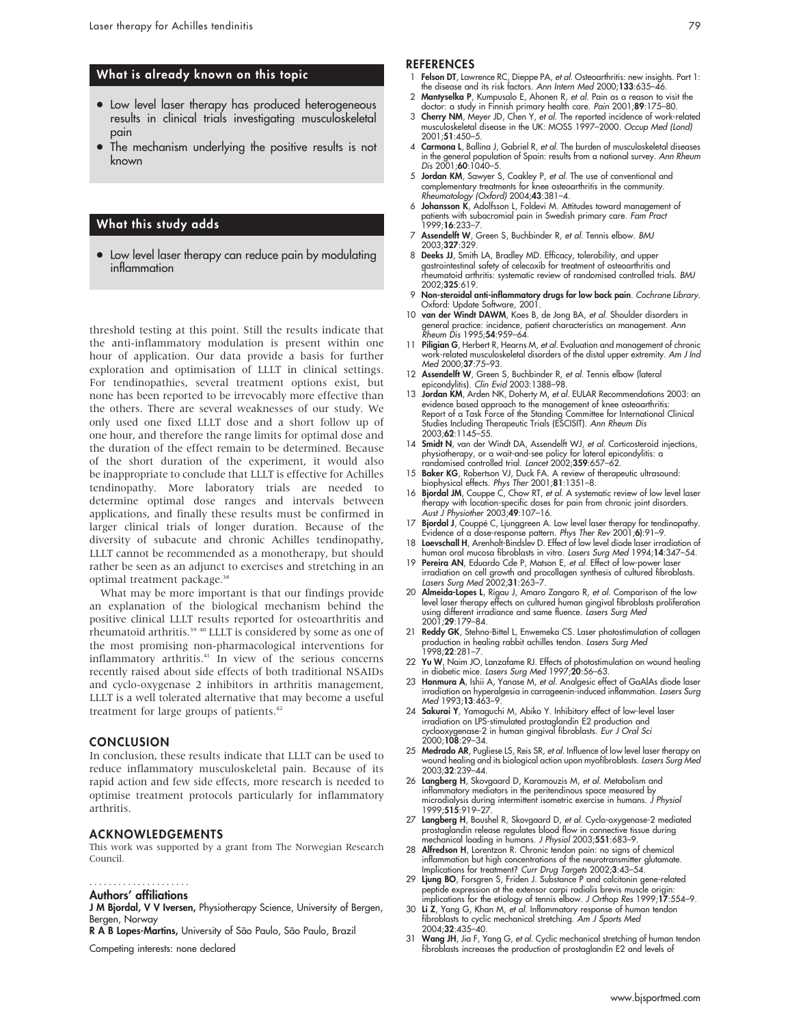#### What is already known on this topic

- Low level laser therapy has produced heterogeneous results in clinical trials investigating musculoskeletal pain
- The mechanism underlying the positive results is not known

### What this study adds

• Low level laser therapy can reduce pain by modulating inflammation

threshold testing at this point. Still the results indicate that the anti-inflammatory modulation is present within one hour of application. Our data provide a basis for further exploration and optimisation of LLLT in clinical settings. For tendinopathies, several treatment options exist, but none has been reported to be irrevocably more effective than the others. There are several weaknesses of our study. We only used one fixed LLLT dose and a short follow up of one hour, and therefore the range limits for optimal dose and the duration of the effect remain to be determined. Because of the short duration of the experiment, it would also be inappropriate to conclude that LLLT is effective for Achilles tendinopathy. More laboratory trials are needed to determine optimal dose ranges and intervals between applications, and finally these results must be confirmed in larger clinical trials of longer duration. Because of the diversity of subacute and chronic Achilles tendinopathy, LLLT cannot be recommended as a monotherapy, but should rather be seen as an adjunct to exercises and stretching in an optimal treatment package.<sup>38</sup>

What may be more important is that our findings provide an explanation of the biological mechanism behind the positive clinical LLLT results reported for osteoarthritis and rheumatoid arthritis.<sup>39</sup> <sup>40</sup> LLLT is considered by some as one of the most promising non-pharmacological interventions for inflammatory arthritis.<sup>41</sup> In view of the serious concerns recently raised about side effects of both traditional NSAIDs and cyclo-oxygenase 2 inhibitors in arthritis management, LLLT is a well tolerated alternative that may become a useful treatment for large groups of patients.<sup>42</sup>

#### **CONCLUSION**

In conclusion, these results indicate that LLLT can be used to reduce inflammatory musculoskeletal pain. Because of its rapid action and few side effects, more research is needed to optimise treatment protocols particularly for inflammatory arthritis.

#### ACKNOWLEDGEMENTS

This work was supported by a grant from The Norwegian Research Council.

### .....................

### Authors' affiliations

J M Bjordal, V V Iversen, Physiotherapy Science, University of Bergen, Bergen, Norway

R A B Lopes-Martins, University of São Paulo, São Paulo, Brazil

Competing interests: none declared

#### **REFERENCES**

- Felson DT, Lawrence RC, Dieppe PA, et al. Osteoarthritis: new insights. Part 1:
- the disease and its risk factors. Ann Intern Med 2000;133:635–46.<br>2 **Mantyselka P**, Kumpusalo E, Ahonen R, *et al.* Pain as a reason to visit the<br>doctor: a study in Finnish primary health care. *Pain* 2001;**89**:175–80.
- 3 Cherry NM, Meyer JD, Chen Y, et al. The reported incidence of work-related musculoskeletal disease in the UK: MOSS 1997–2000. Occup Med (Lond) 2001;51:450–5.
- 4 Carmona L, Ballina J, Gabriel R, et al. The burden of musculoskeletal diseases in the general population of Spain: results from a national survey. Ann Rheum Dis 2001;60:1040-5.
- 5 Jordan KM, Sawyer S, Coakley P, et al. The use of conventional and complementary treatments for knee osteoarthritis in the community. Rheumatology (Oxford) 2004;43:381–4.
- 6 Johansson K, Adolfsson L, Foldevi M. Attitudes toward management of patients with subacromial pain in Swedish primary care. Fam Pract 1999;16:233–7.
- 7 Assendelft W, Green S, Buchbinder R, et al. Tennis elbow. BMJ 2003;327:329.
- 8 Deeks JJ, Smith LA, Bradley MD. Efficacy, tolerability, and upper gastrointestinal safety of celecoxib for treatment of osteoarthritis and rheumatoid arthritis: systematic review of randomised controlled trials. BMJ 2002;325:619.
- 9 Non-steroidal anti-inflammatory drugs for low back pain. Cochrane Library. Oxford: Update Software, 2001.
- 10 van der Windt DAWM, Koes B, de Jong BA, et al. Shoulder disorders in general practice: incidence, patient characteristics an management. *Anr*<br>Rheum Dis 1995;**54**:959–64.
- 11 Piligian G, Herbert R, Hearns M, et al. Evaluation and management of chronic work-related musculoskeletal disorders of the distal upper extremity. Am J Ind Med 2000;37:75–93.
- 12 Assendelft W, Green S, Buchbinder R, et al. Tennis elbow (lateral epicondylitis). Clin Evid 2003:1388–98.
- 13 **Jordan KM**, Arden NK, Doherty M, *et al.* EULAR Recommendations 2003: an<br>evidence based approach to the management of knee osteoarthritis:<br>Report of a Task Force of the Standing Committee for International Clinical Studies Including Therapeutic Trials (ESCISIT). Ann Rheum Dis 2003;62:1145–55.
- 14 Smidt N, van der Windt DA, Assendelft WJ, et al. Corticosteroid injections, physiotherapy, or a wait-and-see policy for lateral epicondylitis: a randomised controlled trial. Lancet 2002;359:657–62.
- 15 Baker KG, Robertson VJ, Duck FA. A review of therapeutic ultrasound:
- biophysical effects. Phys Ther 2001;81:1351–8.<br>16 Bjordal JM, Couppe C, Chow RT, *et al.* A systematic review of low level laser<br>therapy with location-specific doses for pain from chronic joint disorders. Aust J Physiother 2003;49:107-16.
- 17 Bjordal J, Couppé C, Ljunggreen A. Low level laser therapy for tendinopathy. Evidence of a dose-response pattern. Phys Ther Rev 2001;6):91–9.<br>18 Loevschall H, Arenholt-Bindslev D. Effect of low level diode laser irradiation of
- human oral mucosa fibroblasts in vitro. Lasers Surg Med 1994;14:347–54.
- 19 Pereira AN, Eduardo Cde P, Matson E, et al. Effect of low-power laser irradiation on cell growth and procollagen synthesis of cultured fibroblasts. Lasers Surg Med 2002;31:263–7.
- 20 Almeida-Lopes L, Rigau J, Amaro Zangaro R, et al. Comparison of the low level laser therapy effects on cultured human gingival fibroblasts proliferation using different irradiance and same fluence. Lasers Surg Med 2001;29:179–84.
- 21 Reddy GK, Stehno-Bittel L, Enwemeka CS. Laser photostimulation of collagen production in healing rabbit achilles tendon. Lasers Surg Med 1998:22:281-7
- 22 Yu W, Naim JO, Lanzafame RJ. Effects of photostimulation on wound healing in diabetic mice. Lasers Surg Med 1997;20:56–63.
- 23 Honmura A, Ishii A, Yanase M, et al. Analgesic effect of GaAlAs diode laser irradiation on hyperalgesia in carrageenin-induced inflammation. Lasers Surg Med 1993;13:463–9.
- 24 Sakurai Y, Yamaguchi M, Abiko Y. Inhibitory effect of low-level laser irradiation on LPS-stimulated prostaglandin E2 production and cyclooxygenase-2 in human gingival fibroblasts. Eur J Oral Sci 2000;108:29–34.
- 25 Medrado AR, Pugliese LS, Reis SR, et al. Influence of low level laser therapy on wound healing and its biological action upon myofibroblasts. *Lasers Surg Mec*<br>2003;**32**:239–44.
- 26 Langberg H, Skovgaard D, Karamouzis M, et al. Metabolism and inflammatory mediators in the peritendinous space measured by microdialysis during intermittent isometric exercise in humans. J Physiol 1999;515:919–27.
- 27 Langberg H, Boushel R, Skovgaard D, et al. Cyclo-oxygenase-2 mediated prostaglandin release regulates blood flow in connective tissue during mechanical loading in humans. J Physiol 2003;551:683–9.
- 28 Alfredson H, Lorentzon R. Chronic tendon pain: no signs of chemical inflammation but high concentrations of the neurotransmitter glutamate. Implications for treatment? Curr Drug Targets 2002;3:43–54.
- 29 Ljung BO, Forsgren S, Friden J. Substance P and calcitonin gene-related peptide expression at the extensor carpi radialis brevis muscle origin: implications for the etiology of tennis elbow. J Orthop Res 1999;17:554–9.
- 30 Li Z, Yang G, Khan M, et al. Inflammatory response of human tendon fibroblasts to cyclic mechanical stretching. Am J Sports Med 2004;32:435–40.
- 31 Wang JH, Jia F, Yang G, et al. Cyclic mechanical stretching of human tendon fibroblasts increases the production of prostaglandin E2 and levels of